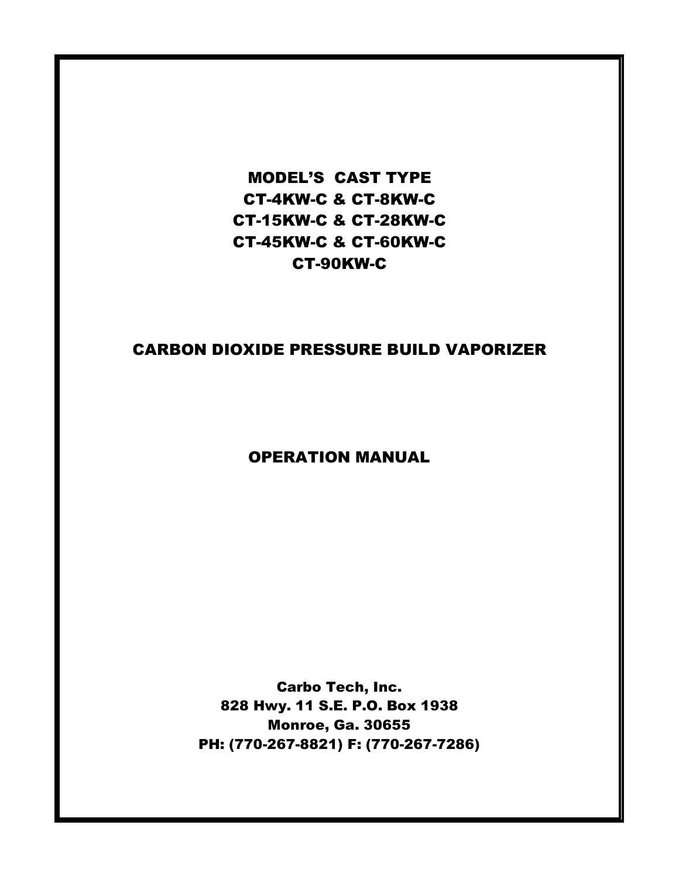## MODEL'S CAST TYPE CT-4KW-C & CT-8KW-C CT-15KW-C & CT-28KW-C CT-45KW-C & CT-60KW-C CT-90KW-C

### CARBON DIOXIDE PRESSURE BUILD VAPORIZER

### OPERATION MANUAL

Carbo Tech, Inc. 828 Hwy. 11 S.E. P.O. Box 1938 Monroe, Ga. 30655 PH: (770-267-8821) F: (770-267-7286)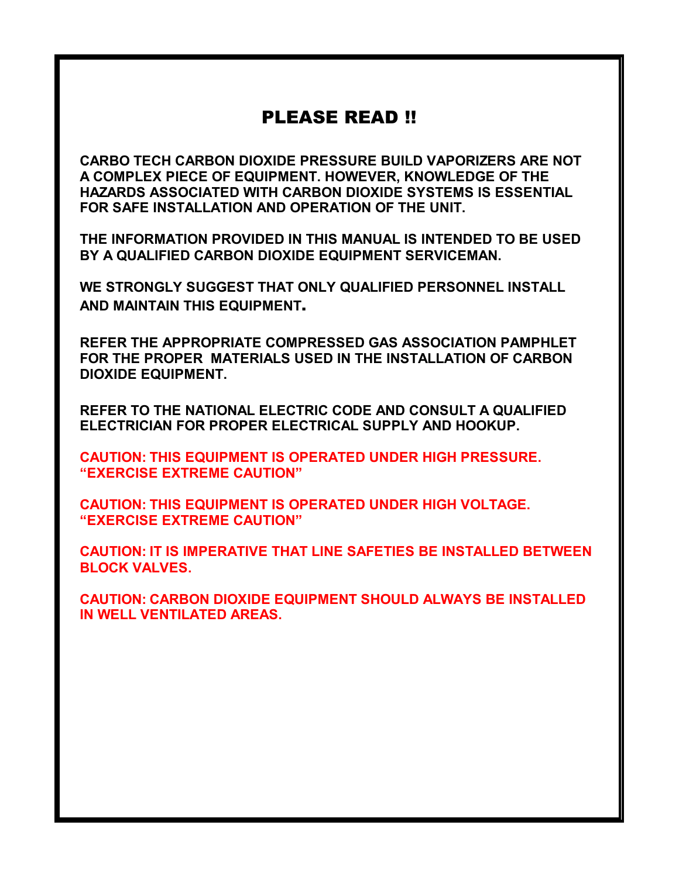## PLEASE READ !!

CARBO TECH CARBON DIOXIDE PRESSURE BUILD VAPORIZERS ARE NOT A COMPLEX PIECE OF EQUIPMENT. HOWEVER, KNOWLEDGE OF THE HAZARDS ASSOCIATED WITH CARBON DIOXIDE SYSTEMS IS ESSENTIAL FOR SAFE INSTALLATION AND OPERATION OF THE UNIT.

THE INFORMATION PROVIDED IN THIS MANUAL IS INTENDED TO BE USED BY A QUALIFIED CARBON DIOXIDE EQUIPMENT SERVICEMAN.

WE STRONGLY SUGGEST THAT ONLY QUALIFIED PERSONNEL INSTALL AND MAINTAIN THIS EQUIPMENT.

REFER THE APPROPRIATE COMPRESSED GAS ASSOCIATION PAMPHLET FOR THE PROPER MATERIALS USED IN THE INSTALLATION OF CARBON DIOXIDE EQUIPMENT.

REFER TO THE NATIONAL ELECTRIC CODE AND CONSULT A QUALIFIED ELECTRICIAN FOR PROPER ELECTRICAL SUPPLY AND HOOKUP.

CAUTION: THIS EQUIPMENT IS OPERATED UNDER HIGH PRESSURE. "EXERCISE EXTREME CAUTION"

CAUTION: THIS EQUIPMENT IS OPERATED UNDER HIGH VOLTAGE. "EXERCISE EXTREME CAUTION"

CAUTION: IT IS IMPERATIVE THAT LINE SAFETIES BE INSTALLED BETWEEN BLOCK VALVES.

CAUTION: CARBON DIOXIDE EQUIPMENT SHOULD ALWAYS BE INSTALLED IN WELL VENTILATED AREAS.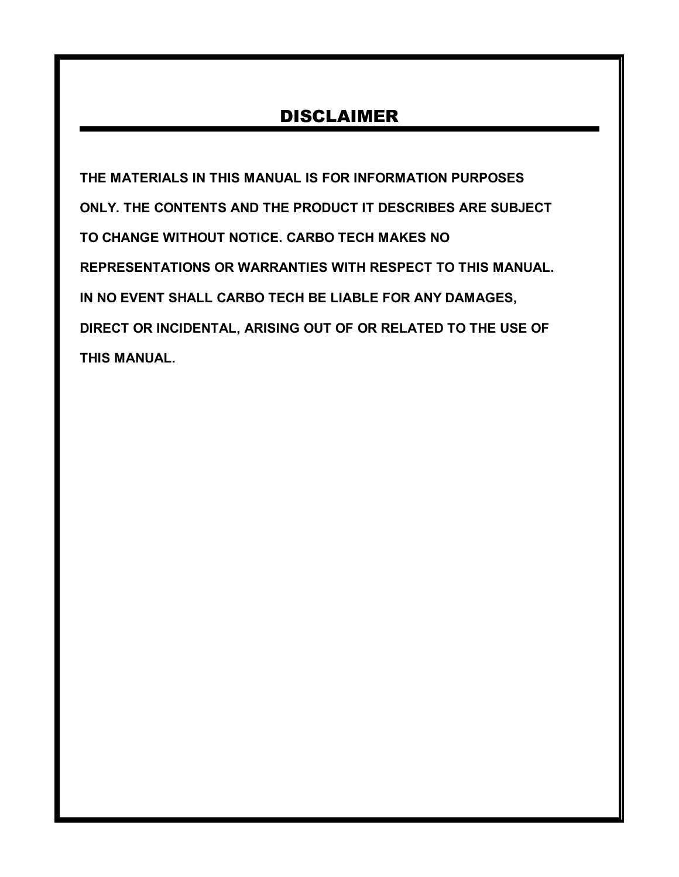# DISCLAIMER

THE MATERIALS IN THIS MANUAL IS FOR INFORMATION PURPOSES ONLY. THE CONTENTS AND THE PRODUCT IT DESCRIBES ARE SUBJECT TO CHANGE WITHOUT NOTICE. CARBO TECH MAKES NO REPRESENTATIONS OR WARRANTIES WITH RESPECT TO THIS MANUAL. IN NO EVENT SHALL CARBO TECH BE LIABLE FOR ANY DAMAGES, DIRECT OR INCIDENTAL, ARISING OUT OF OR RELATED TO THE USE OF THIS MANUAL.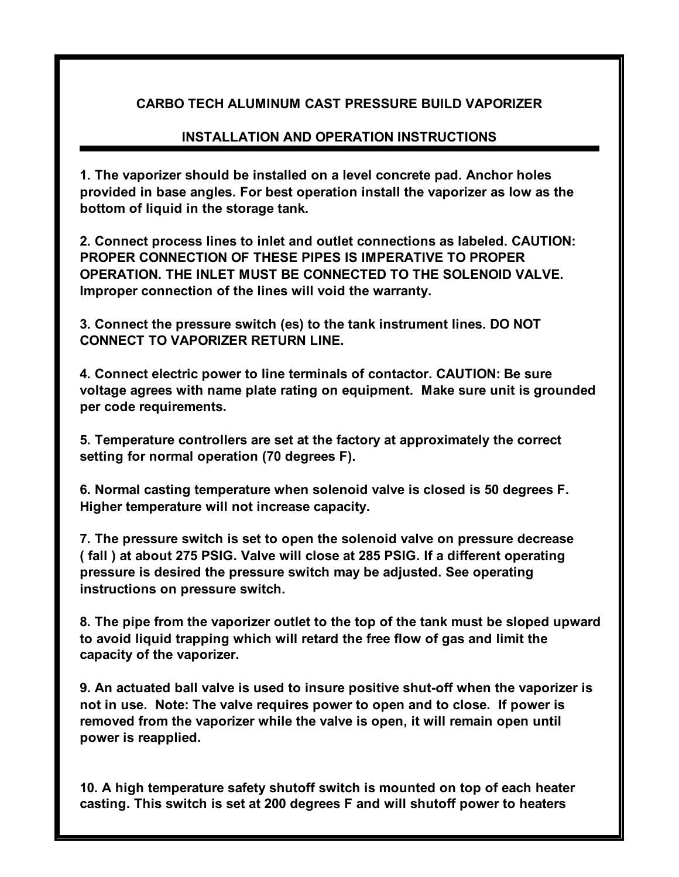#### CARBO TECH ALUMINUM CAST PRESSURE BUILD VAPORIZER

#### INSTALLATION AND OPERATION INSTRUCTIONS

1. The vaporizer should be installed on a level concrete pad. Anchor holes provided in base angles. For best operation install the vaporizer as low as the bottom of liquid in the storage tank.

2. Connect process lines to inlet and outlet connections as labeled. CAUTION: PROPER CONNECTION OF THESE PIPES IS IMPERATIVE TO PROPER OPERATION. THE INLET MUST BE CONNECTED TO THE SOLENOID VALVE. Improper connection of the lines will void the warranty.

3. Connect the pressure switch (es) to the tank instrument lines. DO NOT CONNECT TO VAPORIZER RETURN LINE.

4. Connect electric power to line terminals of contactor. CAUTION: Be sure voltage agrees with name plate rating on equipment. Make sure unit is grounded per code requirements.

5. Temperature controllers are set at the factory at approximately the correct setting for normal operation (70 degrees F).

6. Normal casting temperature when solenoid valve is closed is 50 degrees F. Higher temperature will not increase capacity.

7. The pressure switch is set to open the solenoid valve on pressure decrease ( fall ) at about 275 PSIG. Valve will close at 285 PSIG. If a different operating pressure is desired the pressure switch may be adjusted. See operating instructions on pressure switch.

8. The pipe from the vaporizer outlet to the top of the tank must be sloped upward to avoid liquid trapping which will retard the free flow of gas and limit the capacity of the vaporizer.

9. An actuated ball valve is used to insure positive shut-off when the vaporizer is not in use. Note: The valve requires power to open and to close. If power is removed from the vaporizer while the valve is open, it will remain open until power is reapplied.

10. A high temperature safety shutoff switch is mounted on top of each heater casting. This switch is set at 200 degrees F and will shutoff power to heaters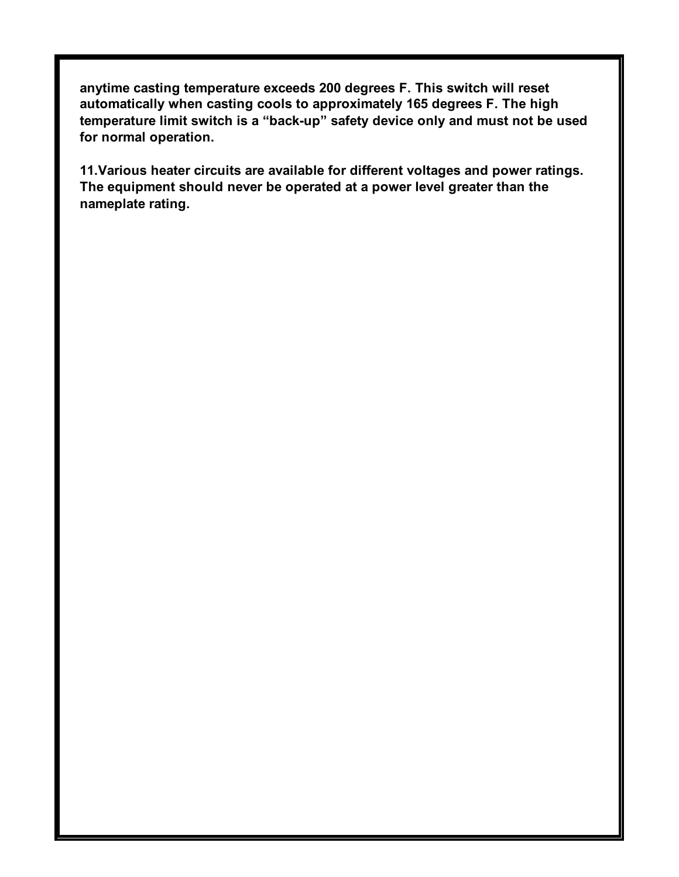anytime casting temperature exceeds 200 degrees F. This switch will reset automatically when casting cools to approximately 165 degrees F. The high temperature limit switch is a "back-up" safety device only and must not be used for normal operation.

11.Various heater circuits are available for different voltages and power ratings. The equipment should never be operated at a power level greater than the nameplate rating.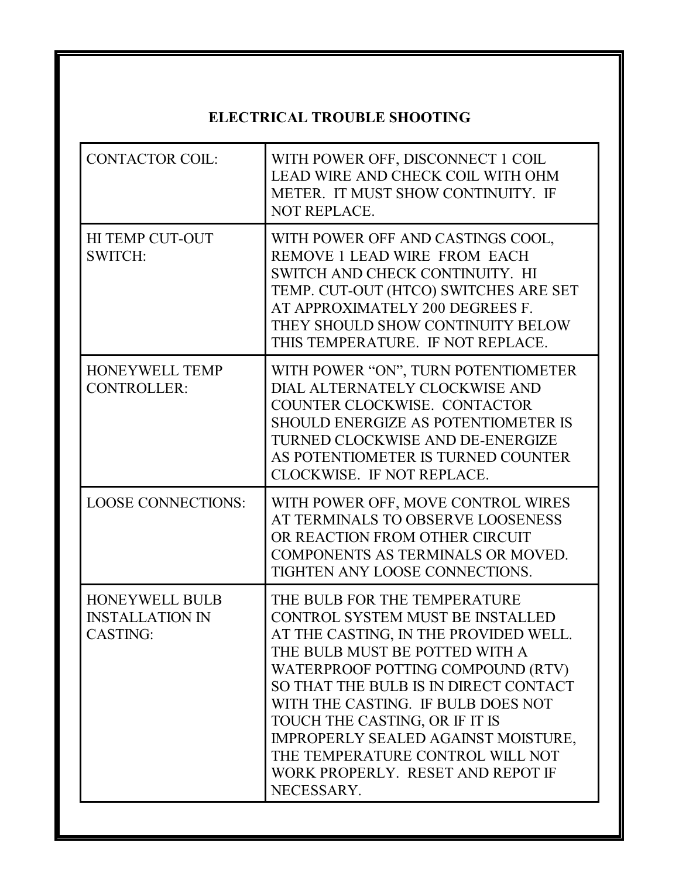## ELECTRICAL TROUBLE SHOOTING

| <b>CONTACTOR COIL:</b>                                             | WITH POWER OFF, DISCONNECT 1 COIL<br><b>LEAD WIRE AND CHECK COIL WITH OHM</b><br>METER. IT MUST SHOW CONTINUITY. IF<br>NOT REPLACE.                                                                                                                                                                                                                                                                                                    |
|--------------------------------------------------------------------|----------------------------------------------------------------------------------------------------------------------------------------------------------------------------------------------------------------------------------------------------------------------------------------------------------------------------------------------------------------------------------------------------------------------------------------|
| <b>HI TEMP CUT-OUT</b><br><b>SWITCH:</b>                           | WITH POWER OFF AND CASTINGS COOL,<br>REMOVE 1 LEAD WIRE FROM EACH<br>SWITCH AND CHECK CONTINUITY. HI<br>TEMP. CUT-OUT (HTCO) SWITCHES ARE SET<br>AT APPROXIMATELY 200 DEGREES F.<br>THEY SHOULD SHOW CONTINUITY BELOW<br>THIS TEMPERATURE. IF NOT REPLACE.                                                                                                                                                                             |
| <b>HONEYWELL TEMP</b><br><b>CONTROLLER:</b>                        | WITH POWER "ON", TURN POTENTIOMETER<br>DIAL ALTERNATELY CLOCKWISE AND<br>COUNTER CLOCKWISE. CONTACTOR<br><b>SHOULD ENERGIZE AS POTENTIOMETER IS</b><br>TURNED CLOCKWISE AND DE-ENERGIZE<br>AS POTENTIOMETER IS TURNED COUNTER<br>CLOCKWISE. IF NOT REPLACE.                                                                                                                                                                            |
| <b>LOOSE CONNECTIONS:</b>                                          | WITH POWER OFF, MOVE CONTROL WIRES<br>AT TERMINALS TO OBSERVE LOOSENESS<br>OR REACTION FROM OTHER CIRCUIT<br>COMPONENTS AS TERMINALS OR MOVED.<br>TIGHTEN ANY LOOSE CONNECTIONS.                                                                                                                                                                                                                                                       |
| <b>HONEYWELL BULB</b><br><b>INSTALLATION IN</b><br><b>CASTING:</b> | THE BULB FOR THE TEMPERATURE<br><b>CONTROL SYSTEM MUST BE INSTALLED</b><br>AT THE CASTING, IN THE PROVIDED WELL.<br>THE BULB MUST BE POTTED WITH A<br>WATERPROOF POTTING COMPOUND (RTV)<br>SO THAT THE BULB IS IN DIRECT CONTACT<br>WITH THE CASTING. IF BULB DOES NOT<br>TOUCH THE CASTING, OR IF IT IS<br>IMPROPERLY SEALED AGAINST MOISTURE,<br>THE TEMPERATURE CONTROL WILL NOT<br>WORK PROPERLY. RESET AND REPOT IF<br>NECESSARY. |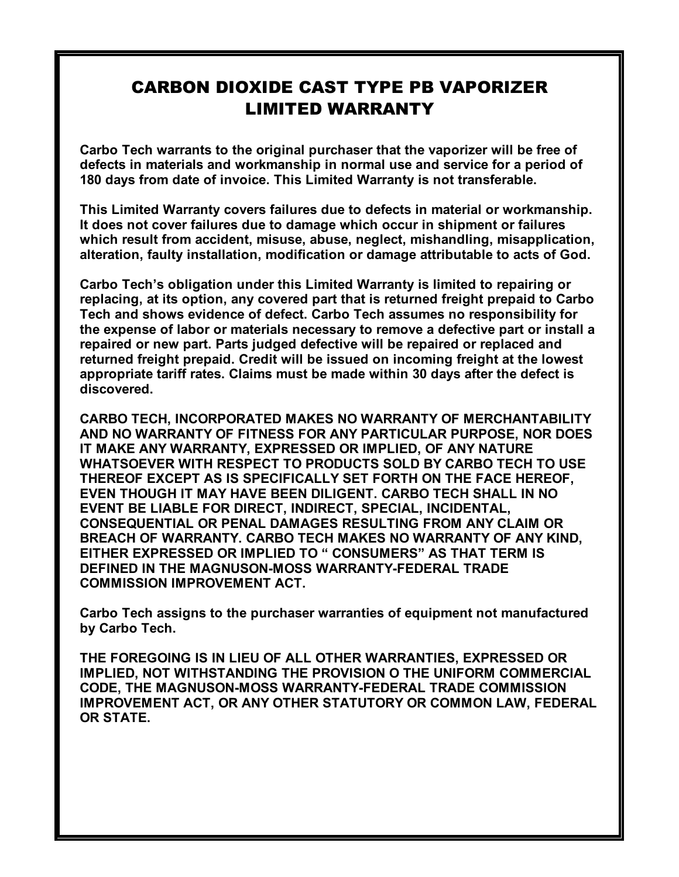## CARBON DIOXIDE CAST TYPE PB VAPORIZER LIMITED WARRANTY

Carbo Tech warrants to the original purchaser that the vaporizer will be free of defects in materials and workmanship in normal use and service for a period of 180 days from date of invoice. This Limited Warranty is not transferable.

This Limited Warranty covers failures due to defects in material or workmanship. It does not cover failures due to damage which occur in shipment or failures which result from accident, misuse, abuse, neglect, mishandling, misapplication, alteration, faulty installation, modification or damage attributable to acts of God.

Carbo Tech's obligation under this Limited Warranty is limited to repairing or replacing, at its option, any covered part that is returned freight prepaid to Carbo Tech and shows evidence of defect. Carbo Tech assumes no responsibility for the expense of labor or materials necessary to remove a defective part or install a repaired or new part. Parts judged defective will be repaired or replaced and returned freight prepaid. Credit will be issued on incoming freight at the lowest appropriate tariff rates. Claims must be made within 30 days after the defect is discovered.

CARBO TECH, INCORPORATED MAKES NO WARRANTY OF MERCHANTABILITY AND NO WARRANTY OF FITNESS FOR ANY PARTICULAR PURPOSE, NOR DOES IT MAKE ANY WARRANTY, EXPRESSED OR IMPLIED, OF ANY NATURE WHATSOEVER WITH RESPECT TO PRODUCTS SOLD BY CARBO TECH TO USE THEREOF EXCEPT AS IS SPECIFICALLY SET FORTH ON THE FACE HEREOF, EVEN THOUGH IT MAY HAVE BEEN DILIGENT. CARBO TECH SHALL IN NO EVENT BE LIABLE FOR DIRECT, INDIRECT, SPECIAL, INCIDENTAL, CONSEQUENTIAL OR PENAL DAMAGES RESULTING FROM ANY CLAIM OR BREACH OF WARRANTY. CARBO TECH MAKES NO WARRANTY OF ANY KIND, EITHER EXPRESSED OR IMPLIED TO " CONSUMERS" AS THAT TERM IS DEFINED IN THE MAGNUSON-MOSS WARRANTY-FEDERAL TRADE COMMISSION IMPROVEMENT ACT.

Carbo Tech assigns to the purchaser warranties of equipment not manufactured by Carbo Tech.

THE FOREGOING IS IN LIEU OF ALL OTHER WARRANTIES, EXPRESSED OR IMPLIED, NOT WITHSTANDING THE PROVISION O THE UNIFORM COMMERCIAL CODE, THE MAGNUSON-MOSS WARRANTY-FEDERAL TRADE COMMISSION IMPROVEMENT ACT, OR ANY OTHER STATUTORY OR COMMON LAW, FEDERAL OR STATE.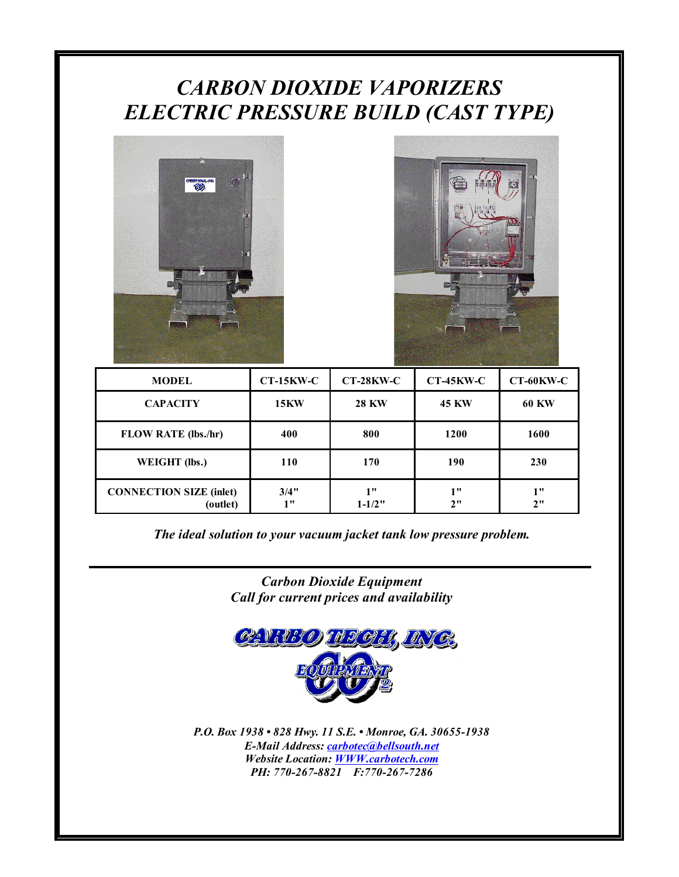# CARBON DIOXIDE VAPORIZERS ELECTRIC PRESSURE BUILD (CAST TYPE)





| <b>MODEL</b>                               | $CT-15KW-C$ | $CT-28KW-C$      | $CT-45KW-C$  | $CT-60KW-C$  |
|--------------------------------------------|-------------|------------------|--------------|--------------|
| <b>CAPACITY</b>                            | <b>15KW</b> | <b>28 KW</b>     | <b>45 KW</b> | <b>60 KW</b> |
| <b>FLOW RATE (lbs./hr)</b>                 | 400         | 800              | 1200         | 1600         |
| WEIGHT (lbs.)                              | 110         | 170              | 190          | 230          |
| <b>CONNECTION SIZE (inlet)</b><br>(outlet) | 3/4"<br>1"  | 1"<br>$1 - 1/2"$ | 1"<br>2"     | 1"<br>2"     |

The ideal solution to your vacuum jacket tank low pressure problem.

Carbon Dioxide Equipment Call for current prices and availability



P.O. Box 1938 • 828 Hwy. 11 S.E. • Monroe, GA. 30655-1938 E-Mail Address: carbotec@bellsouth.net Website Location: WWW.carbotech.com PH: 770-267-8821 F:770-267-7286